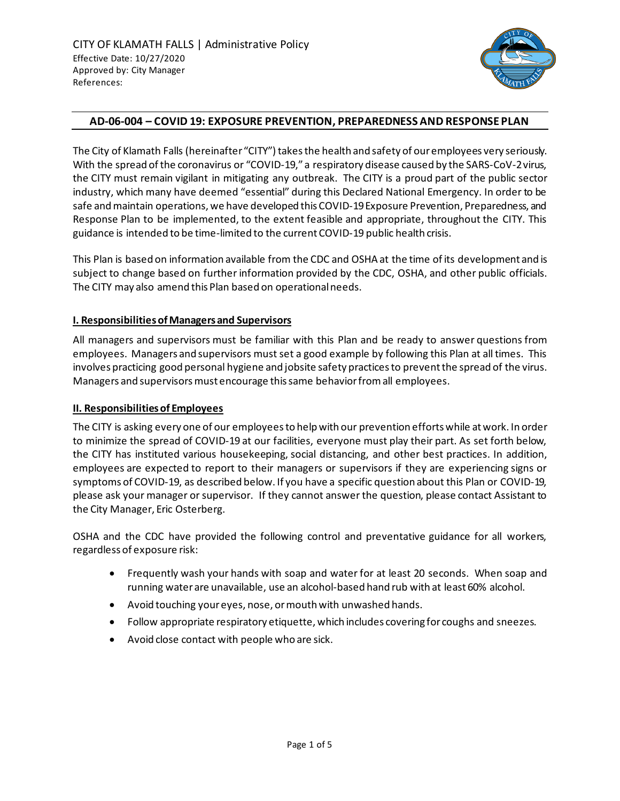

### **AD-06-004 – COVID 19: EXPOSURE PREVENTION, PREPAREDNESS AND RESPONSE PLAN**

The City of Klamath Falls (hereinafter "CITY") takes the health and safety of our employees very seriously. With the spread of the coronavirus or "COVID-19," a respiratory disease caused by the SARS-CoV-2 virus, the CITY must remain vigilant in mitigating any outbreak. The CITY is a proud part of the public sector industry, which many have deemed "essential" during this Declared National Emergency. In order to be safe and maintain operations, we have developed this COVID-19 Exposure Prevention, Preparedness, and Response Plan to be implemented, to the extent feasible and appropriate, throughout the CITY. This guidance is intended to be time-limited to the current COVID-19 public health crisis.

This Plan is based on information available from the CDC and OSHA at the time of its development and is subject to change based on further information provided by the CDC, OSHA, and other public officials. The CITY may also amend this Plan based on operational needs.

## **I. Responsibilities of Managers and Supervisors**

All managers and supervisors must be familiar with this Plan and be ready to answer questions from employees. Managers and supervisors must set a good example by following this Plan at all times. This involves practicing good personal hygiene and jobsite safety practices to prevent the spread of the virus. Managers and supervisors must encourage this same behavior from all employees.

#### **II. Responsibilities of Employees**

The CITY is asking every one of our employees to help with our prevention efforts while at work. In order to minimize the spread of COVID-19 at our facilities, everyone must play their part. As set forth below, the CITY has instituted various housekeeping, social distancing, and other best practices. In addition, employees are expected to report to their managers or supervisors if they are experiencing signs or symptoms of COVID-19, as described below. If you have a specific question about this Plan or COVID-19, please ask your manager or supervisor. If they cannot answer the question, please contact Assistant to the City Manager, Eric Osterberg.

OSHA and the CDC have provided the following control and preventative guidance for all workers, regardless of exposure risk:

- Frequently wash your hands with soap and water for at least 20 seconds. When soap and running water are unavailable, use an alcohol-based hand rub with at least 60% alcohol.
- Avoid touching your eyes, nose, or mouth with unwashed hands.
- Follow appropriate respiratory etiquette, which includes covering for coughs and sneezes.
- Avoid close contact with people who are sick.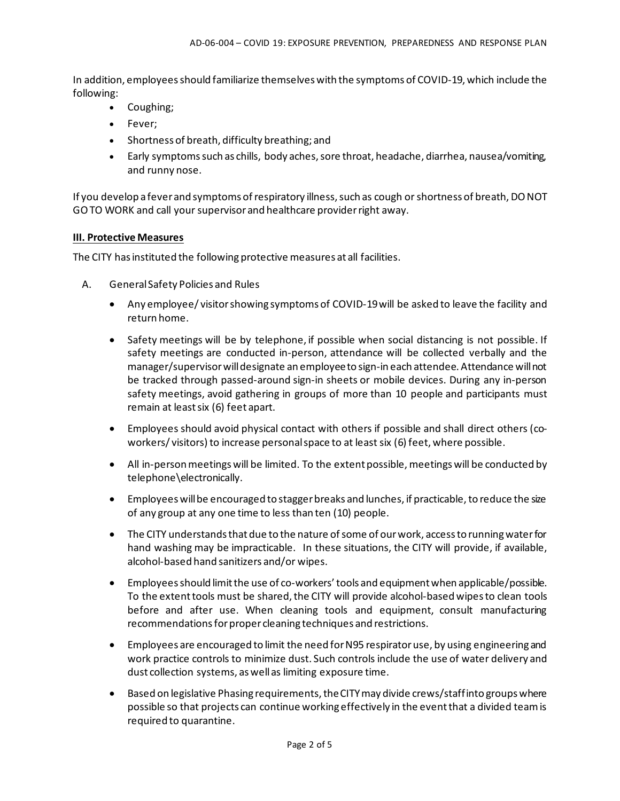In addition, employees should familiarize themselves with the symptoms of COVID-19, which include the following:

- Coughing;
- Fever;
- Shortness of breath, difficulty breathing; and
- Early symptoms such as chills, body aches, sore throat, headache, diarrhea, nausea/vomiting, and runny nose.

If you develop a fever and symptoms of respiratory illness, such as cough or shortness of breath, DO NOT GO TO WORK and call your supervisor and healthcare provider right away.

#### **III. Protective Measures**

The CITY has instituted the following protective measures at all facilities.

- A. General Safety Policies and Rules
	- Any employee/ visitor showing symptoms of COVID-19 will be asked to leave the facility and return home.
	- Safety meetings will be by telephone, if possible when social distancing is not possible. If safety meetings are conducted in-person, attendance will be collected verbally and the manager/supervisor will designate an employee to sign-in each attendee. Attendance will not be tracked through passed-around sign-in sheets or mobile devices. During any in-person safety meetings, avoid gathering in groups of more than 10 people and participants must remain at least six (6) feet apart.
	- Employees should avoid physical contact with others if possible and shall direct others (coworkers/ visitors) to increase personal space to at least six (6) feet, where possible.
	- All in-person meetings will be limited. To the extent possible, meetings will be conducted by telephone\electronically.
	- Employees will be encouraged to stagger breaks and lunches, if practicable, to reduce the size of any group at any one time to less than ten (10) people.
	- The CITY understands that due to the nature of some of our work, access to running water for hand washing may be impracticable. In these situations, the CITY will provide, if available, alcohol-based hand sanitizers and/or wipes.
	- Employees should limit the use of co-workers' tools and equipment when applicable/possible. To the extent tools must be shared, the CITY will provide alcohol-based wipes to clean tools before and after use. When cleaning tools and equipment, consult manufacturing recommendations for proper cleaning techniques and restrictions.
	- Employees are encouraged to limit the need for N95 respirator use, by using engineering and work practice controls to minimize dust. Such controls include the use of water delivery and dust collection systems, as well as limiting exposure time.
	- Based on legislative Phasing requirements, the CITY may divide crews/staff into groups where possible so that projects can continue working effectively in the event that a divided team is required to quarantine.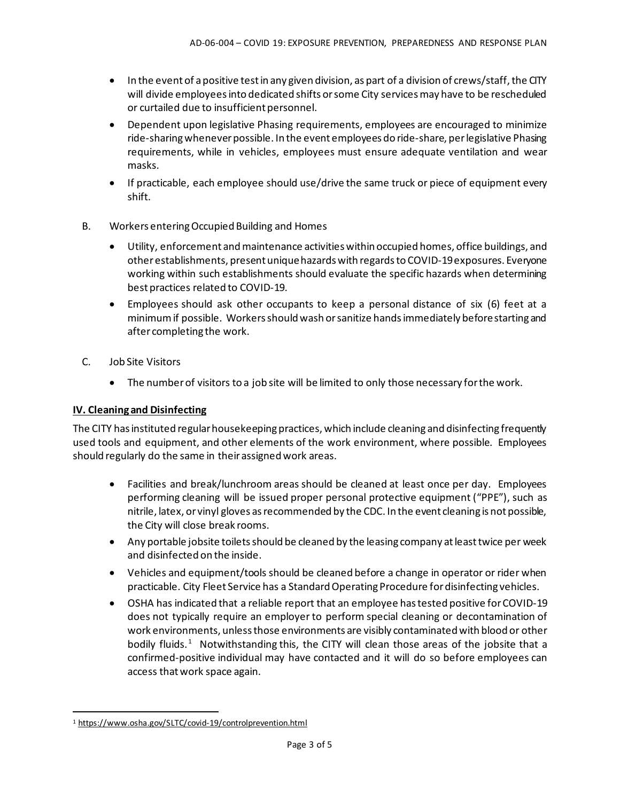- In the event of a positive test in any given division, as part of a division of crews/staff, the CITY will divide employees into dedicated shifts or some City services may have to be rescheduled or curtailed due to insufficient personnel.
- Dependent upon legislative Phasing requirements, employees are encouraged to minimize ride-sharing whenever possible. In the event employees do ride-share, per legislative Phasing requirements, while in vehicles, employees must ensure adequate ventilation and wear masks.
- If practicable, each employee should use/drive the same truck or piece of equipment every shift.
- B. Workers entering Occupied Building and Homes
	- Utility, enforcement and maintenance activities within occupied homes, office buildings, and other establishments, present unique hazards with regards to COVID-19 exposures. Everyone working within such establishments should evaluate the specific hazards when determining best practices related to COVID-19.
	- Employees should ask other occupants to keep a personal distance of six (6) feet at a minimum if possible. Workers should wash or sanitize hands immediately before starting and after completing the work.
- C. Job Site Visitors
	- The number of visitors to a job site will be limited to only those necessary for the work.

# **IV. Cleaning and Disinfecting**

The CITY has instituted regular housekeeping practices, which include cleaning and disinfecting frequently used tools and equipment, and other elements of the work environment, where possible. Employees should regularly do the same in their assigned work areas.

- Facilities and break/lunchroom areas should be cleaned at least once per day. Employees performing cleaning will be issued proper personal protective equipment ("PPE"), such as nitrile, latex, or vinyl gloves as recommended by the CDC. In the event cleaning is not possible, the City will close break rooms.
- Any portable jobsite toilets should be cleaned by the leasing company at least twice per week and disinfected on the inside.
- Vehicles and equipment/tools should be cleaned before a change in operator or rider when practicable. City Fleet Service has a Standard Operating Procedure for disinfecting vehicles.
- OSHA has indicated that a reliable report that an employee has tested positive for COVID-19 does not typically require an employer to perform special cleaning or decontamination of work environments, unless those environments are visibly contaminated with blood or other bodily fluids.<sup>[1](#page-2-0)</sup> Notwithstanding this, the CITY will clean those areas of the jobsite that a confirmed-positive individual may have contacted and it will do so before employees can access that work space again.

<span id="page-2-0"></span><sup>1</sup> <https://www.osha.gov/SLTC/covid-19/controlprevention.html>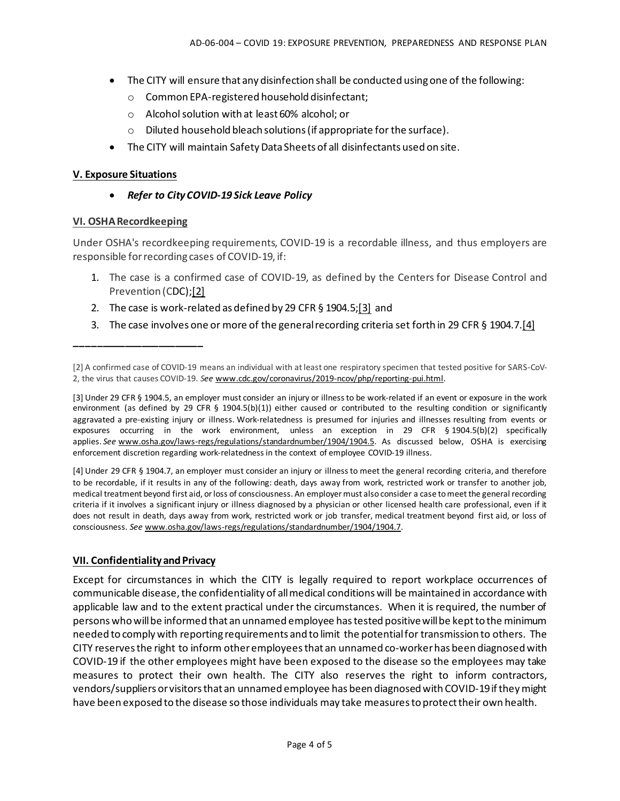- The CITY will ensure that any disinfection shall be conducted using one of the following:
	- o Common EPA-registered household disinfectant;
	- o Alcohol solution with at least 60% alcohol; or
	- o Diluted household bleach solutions (if appropriate for the surface).
- The CITY will maintain Safety Data Sheets of all disinfectants used on site.

#### **V. Exposure Situations**

• *Refer to City COVID-19 Sick Leave Policy*

#### **VI. OSHA Recordkeeping**

**\_\_\_\_\_\_\_\_\_\_\_\_\_\_\_\_\_\_\_\_\_\_\_**

Under OSHA's recordkeeping requirements, COVID-19 is a recordable illness, and thus employers are responsible for recording cases of COVID-19, if:

- 1. The case is a confirmed case of COVID-19, as defined by the Centers for Disease Control and Prevention (CDC[\);\[2\]](https://www.osha.gov/memos/2020-05-19/revised-enforcement-guidance-recording-cases-coronavirus-disease-2019-covid-19#_ftn2)
- 2. The case is work-related as defined by 29 CFR § 1904.5[;\[3\]](https://www.osha.gov/memos/2020-05-19/revised-enforcement-guidance-recording-cases-coronavirus-disease-2019-covid-19#_ftn3) and
- 3. The case involves one or more of the general recording criteria set forth in 29 CFR § 1904.7[.\[4\]](https://www.osha.gov/memos/2020-05-19/revised-enforcement-guidance-recording-cases-coronavirus-disease-2019-covid-19#_ftn4)

[3] Under 29 CFR § 1904.5, an employer must consider an injury or illness to be work-related if an event or exposure in the work environment (as defined by 29 CFR § 1904.5(b)(1)) either caused or contributed to the resulting condition or significantly aggravated a pre-existing injury or illness. Work-relatedness is presumed for injuries and illnesses resulting from events or exposures occurring in the work environment, unless an exception in 29 CFR § 1904.5(b)(2) specifically applies. *See* [www.osha.gov/laws-regs/regulations/standardnumber/1904/1904.5.](https://www.osha.gov/laws-regs/regulations/standardnumber/1904/1904.5) As discussed below, OSHA is exercising enforcement discretion regarding work-relatedness in the context of employee COVID-19 illness.

[4] Under 29 CFR § 1904.7, an employer must consider an injury or illness to meet the general recording criteria, and therefore to be recordable, if it results in any of the following: death, days away from work, restricted work or transfer to another job, medical treatment beyond first aid, or loss of consciousness. An employer must also consider a case to meet the general recording criteria if it involves a significant injury or illness diagnosed by a physician or other licensed health care professional, even if it does not result in death, days away from work, restricted work or job transfer, medical treatment beyond first aid, or loss of consciousness. *See* [www.osha.gov/laws-regs/regulations/standardnumber/1904/1904.7.](https://www.osha.gov/laws-regs/regulations/standardnumber/1904/1904.7)

#### **VII. Confidentiality and Privacy**

Except for circumstances in which the CITY is legally required to report workplace occurrences of communicable disease, the confidentiality of all medical conditions will be maintained in accordance with applicable law and to the extent practical under the circumstances. When it is required, the number of persons who will be informed that an unnamed employee has tested positive will be kept to the minimum needed to comply with reporting requirements and to limit the potential for transmission to others. The CITY reserves the right to inform other employees that an unnamed co-worker has been diagnosed with COVID-19 if the other employees might have been exposed to the disease so the employees may take measures to protect their own health. The CITY also reserves the right to inform contractors, vendors/suppliers or visitors that an unnamed employee has been diagnosed with COVID-19 if they might have been exposed to the disease so those individuals may take measures to protect their own health.

<sup>[2]</sup> A confirmed case of COVID-19 means an individual with at least one respiratory specimen that tested positive for SARS-CoV-2, the virus that causes COVID-19. *See* [www.cdc.gov/coronavirus/2019-ncov/php/reporting-pui.html.](http://www.cdc.gov/coronavirus/2019-ncov/php/reporting-pui.html)